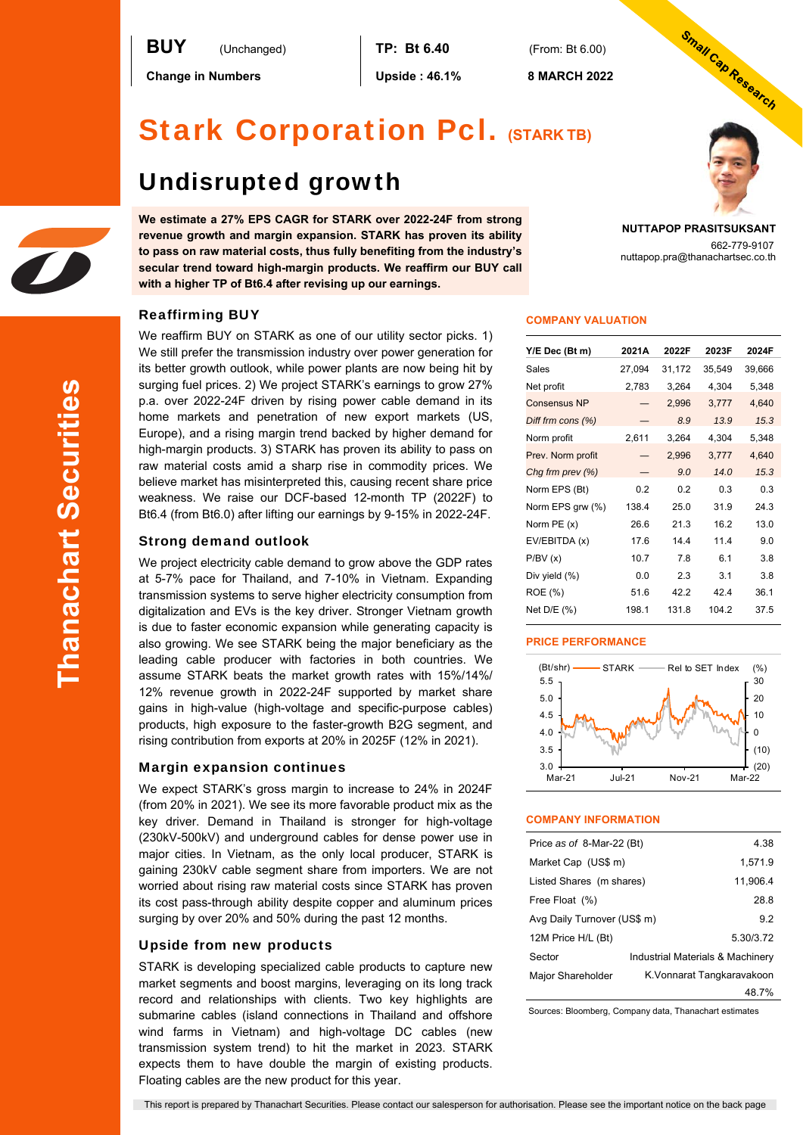**Change in Numbers Upside : 46.1% 8 MARCH 2022** 

# Stark Corporation Pcl. **(STARK TB)**

# Undisrupted growth

**We estimate a 27% EPS CAGR for STARK over 2022-24F from strong revenue growth and margin expansion. STARK has proven its ability to pass on raw material costs, thus fully benefiting from the industry's secular trend toward high-margin products. We reaffirm our BUY call with a higher TP of Bt6.4 after revising up our earnings.** 

# **NUTTAPOP PRASITSUKSANT**

Small Cap Research

662-779-9107 nuttapop.pra@thanachartsec.co.th

# Reaffirming BUY

We reaffirm BUY on STARK as one of our utility sector picks. 1) We still prefer the transmission industry over power generation for its better growth outlook, while power plants are now being hit by surging fuel prices. 2) We project STARK's earnings to grow 27% p.a. over 2022-24F driven by rising power cable demand in its home markets and penetration of new export markets (US, Europe), and a rising margin trend backed by higher demand for high-margin products. 3) STARK has proven its ability to pass on raw material costs amid a sharp rise in commodity prices. We believe market has misinterpreted this, causing recent share price weakness. We raise our DCF-based 12-month TP (2022F) to Bt6.4 (from Bt6.0) after lifting our earnings by 9-15% in 2022-24F.

# Strong demand outlook

We project electricity cable demand to grow above the GDP rates at 5-7% pace for Thailand, and 7-10% in Vietnam. Expanding transmission systems to serve higher electricity consumption from digitalization and EVs is the key driver. Stronger Vietnam growth is due to faster economic expansion while generating capacity is also growing. We see STARK being the major beneficiary as the leading cable producer with factories in both countries. We assume STARK beats the market growth rates with 15%/14%/ 12% revenue growth in 2022-24F supported by market share gains in high-value (high-voltage and specific-purpose cables) products, high exposure to the faster-growth B2G segment, and rising contribution from exports at 20% in 2025F (12% in 2021).

# Margin expansion continues

We expect STARK's gross margin to increase to 24% in 2024F (from 20% in 2021). We see its more favorable product mix as the key driver. Demand in Thailand is stronger for high-voltage (230kV-500kV) and underground cables for dense power use in major cities. In Vietnam, as the only local producer, STARK is gaining 230kV cable segment share from importers. We are not worried about rising raw material costs since STARK has proven its cost pass-through ability despite copper and aluminum prices surging by over 20% and 50% during the past 12 months.

# Upside from new products

STARK is developing specialized cable products to capture new market segments and boost margins, leveraging on its long track record and relationships with clients. Two key highlights are submarine cables (island connections in Thailand and offshore wind farms in Vietnam) and high-voltage DC cables (new transmission system trend) to hit the market in 2023. STARK expects them to have double the margin of existing products. Floating cables are the new product for this year.

|  | <b>COMPANY VALUATION</b> |
|--|--------------------------|
|  |                          |
|  |                          |

| 2021A  | 2022F  | 2023F  | 2024F  |
|--------|--------|--------|--------|
| 27,094 | 31,172 | 35,549 | 39,666 |
| 2,783  | 3,264  | 4,304  | 5,348  |
|        | 2,996  | 3,777  | 4,640  |
|        | 8.9    | 13.9   | 15.3   |
| 2,611  | 3,264  | 4,304  | 5,348  |
|        | 2,996  | 3,777  | 4,640  |
|        | 9.0    | 14.0   | 15.3   |
| 0.2    | 0.2    | 0.3    | 0.3    |
| 138.4  | 25.0   | 31.9   | 24.3   |
| 26.6   | 21.3   | 16.2   | 13.0   |
| 17.6   | 14.4   | 11.4   | 9.0    |
| 10.7   | 7.8    | 6.1    | 3.8    |
| 0.0    | 2.3    | 3.1    | 3.8    |
| 51.6   | 42.2   | 42.4   | 36.1   |
| 198.1  | 131.8  | 104.2  | 37.5   |
|        |        |        |        |

# **PRICE PERFORMANCE**



### **COMPANY INFORMATION**

| Price as of 8-Mar-22 (Bt)   |  | 4.38                             |
|-----------------------------|--|----------------------------------|
| Market Cap (US\$ m)         |  | 1,571.9                          |
| Listed Shares (m shares)    |  | 11,906.4                         |
| Free Float (%)              |  | 28.8                             |
| Avg Daily Turnover (US\$ m) |  | 9.2                              |
| 12M Price H/L (Bt)          |  | 5.30/3.72                        |
| Sector                      |  | Industrial Materials & Machinery |
| Major Shareholder           |  | K.Vonnarat Tangkaravakoon        |
|                             |  | 48.7%                            |

Sources: Bloomberg, Company data, Thanachart estimates

This report is prepared by Thanachart Securities. Please contact our salesperson for authorisation. Please see the important notice on the back page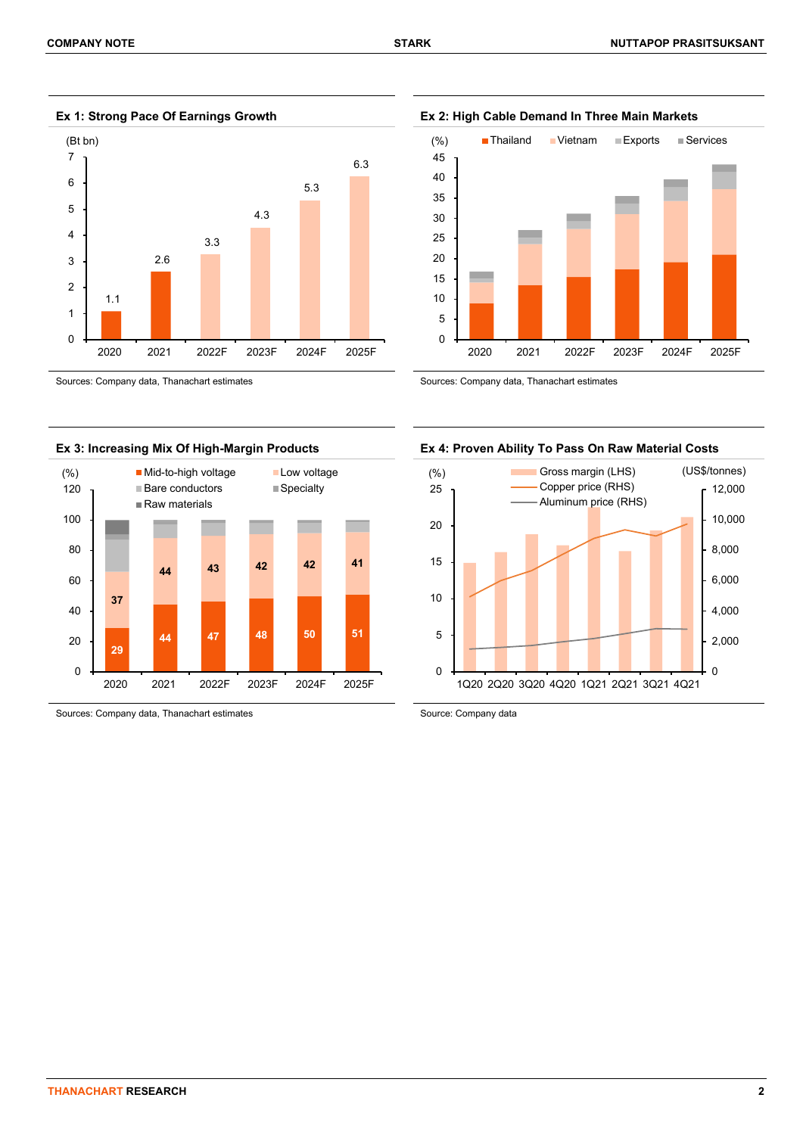

**Ex 1: Strong Pace Of Earnings Growth Ex 2: High Cable Demand In Three Main Markets** 





Sources: Company data, Thanachart estimates Source: Company data

5 10 15 20 25 30 35 40 45 (%) ■ Thailand ■ Vietnam ■ Exports ■ Services

2020 2021 2022F 2023F 2024F 2025F

 $\Omega$ 



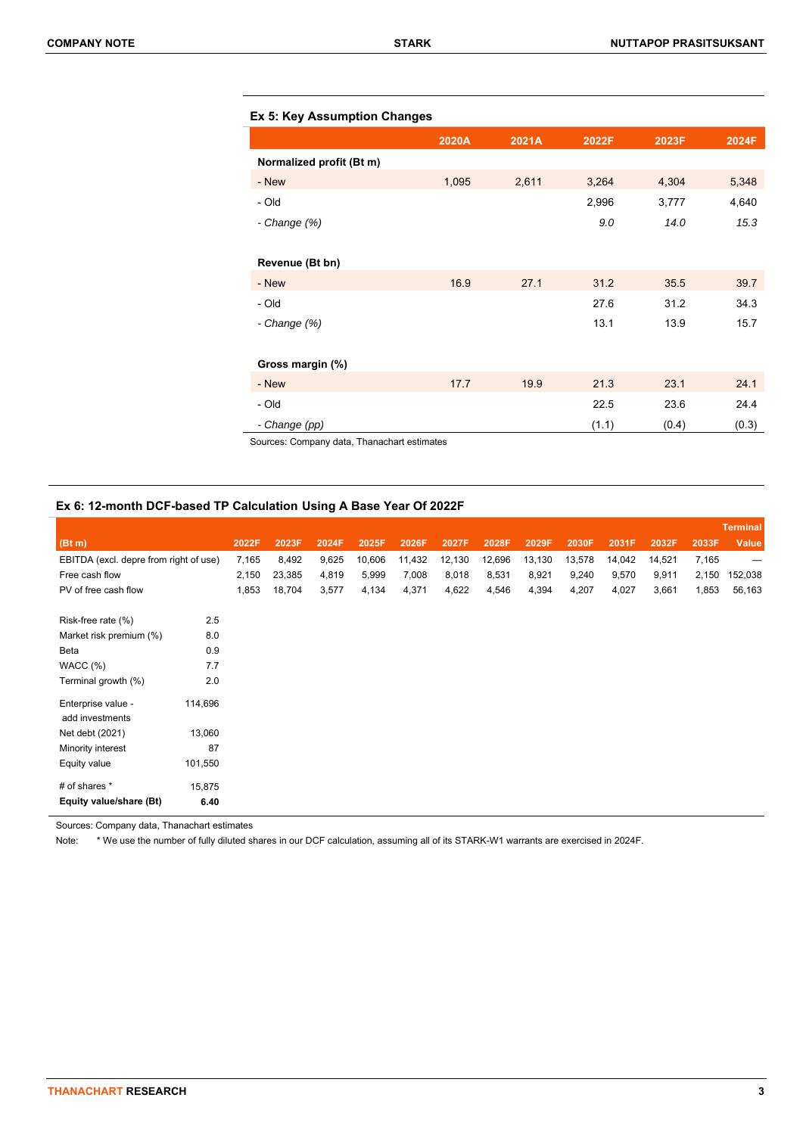|  |  |  |  |  | Ex 5: Key Assumption Changes |
|--|--|--|--|--|------------------------------|
|--|--|--|--|--|------------------------------|

|                          | 2020A | 2021A | 2022F | 2023F | 2024F |
|--------------------------|-------|-------|-------|-------|-------|
| Normalized profit (Bt m) |       |       |       |       |       |
| - New                    | 1,095 | 2,611 | 3,264 | 4,304 | 5,348 |
| - Old                    |       |       | 2,996 | 3,777 | 4,640 |
| - Change (%)             |       |       | 9.0   | 14.0  | 15.3  |
|                          |       |       |       |       |       |
| Revenue (Bt bn)          |       |       |       |       |       |
| - New                    | 16.9  | 27.1  | 31.2  | 35.5  | 39.7  |
| - Old                    |       |       | 27.6  | 31.2  | 34.3  |
| - Change (%)             |       |       | 13.1  | 13.9  | 15.7  |
|                          |       |       |       |       |       |
| Gross margin (%)         |       |       |       |       |       |
| - New                    | 17.7  | 19.9  | 21.3  | 23.1  | 24.1  |
| - Old                    |       |       | 22.5  | 23.6  | 24.4  |
| - Change (pp)            |       |       | (1.1) | (0.4) | (0.3) |

Sources: Company data, Thanachart estimates

# **Ex 6: 12-month DCF-based TP Calculation Using A Base Year Of 2022F**

|                                        |         |       |        |       |        |        |        |        |        |        |        |        |       | <b>Terminal</b>          |
|----------------------------------------|---------|-------|--------|-------|--------|--------|--------|--------|--------|--------|--------|--------|-------|--------------------------|
| (Bt m)                                 |         | 2022F | 2023F  | 2024F | 2025F  | 2026F  | 2027F  | 2028F  | 2029F  | 2030F  | 2031F  | 2032F  | 2033F | <b>Value</b>             |
| EBITDA (excl. depre from right of use) |         | 7,165 | 8,492  | 9,625 | 10,606 | 11,432 | 12,130 | 12,696 | 13,130 | 13,578 | 14,042 | 14,521 | 7,165 | $\overline{\phantom{m}}$ |
| Free cash flow                         |         | 2,150 | 23,385 | 4,819 | 5,999  | 7,008  | 8,018  | 8,531  | 8,921  | 9,240  | 9,570  | 9,911  | 2,150 | 152,038                  |
| PV of free cash flow                   |         | 1,853 | 18,704 | 3,577 | 4,134  | 4,371  | 4,622  | 4,546  | 4,394  | 4,207  | 4,027  | 3,661  | 1,853 | 56,163                   |
| Risk-free rate (%)                     | 2.5     |       |        |       |        |        |        |        |        |        |        |        |       |                          |
| Market risk premium (%)                | 8.0     |       |        |       |        |        |        |        |        |        |        |        |       |                          |
| Beta                                   | 0.9     |       |        |       |        |        |        |        |        |        |        |        |       |                          |
|                                        | 7.7     |       |        |       |        |        |        |        |        |        |        |        |       |                          |
| WACC(%)                                |         |       |        |       |        |        |        |        |        |        |        |        |       |                          |
| Terminal growth (%)                    | 2.0     |       |        |       |        |        |        |        |        |        |        |        |       |                          |
| Enterprise value -                     | 114,696 |       |        |       |        |        |        |        |        |        |        |        |       |                          |
| add investments                        |         |       |        |       |        |        |        |        |        |        |        |        |       |                          |
| Net debt (2021)                        | 13,060  |       |        |       |        |        |        |        |        |        |        |        |       |                          |
| Minority interest                      | 87      |       |        |       |        |        |        |        |        |        |        |        |       |                          |
| Equity value                           | 101,550 |       |        |       |        |        |        |        |        |        |        |        |       |                          |
| # of shares *                          | 15,875  |       |        |       |        |        |        |        |        |        |        |        |       |                          |
| Equity value/share (Bt)                | 6.40    |       |        |       |        |        |        |        |        |        |        |        |       |                          |

Sources: Company data, Thanachart estimates

Note: \* We use the number of fully diluted shares in our DCF calculation, assuming all of its STARK-W1 warrants are exercised in 2024F.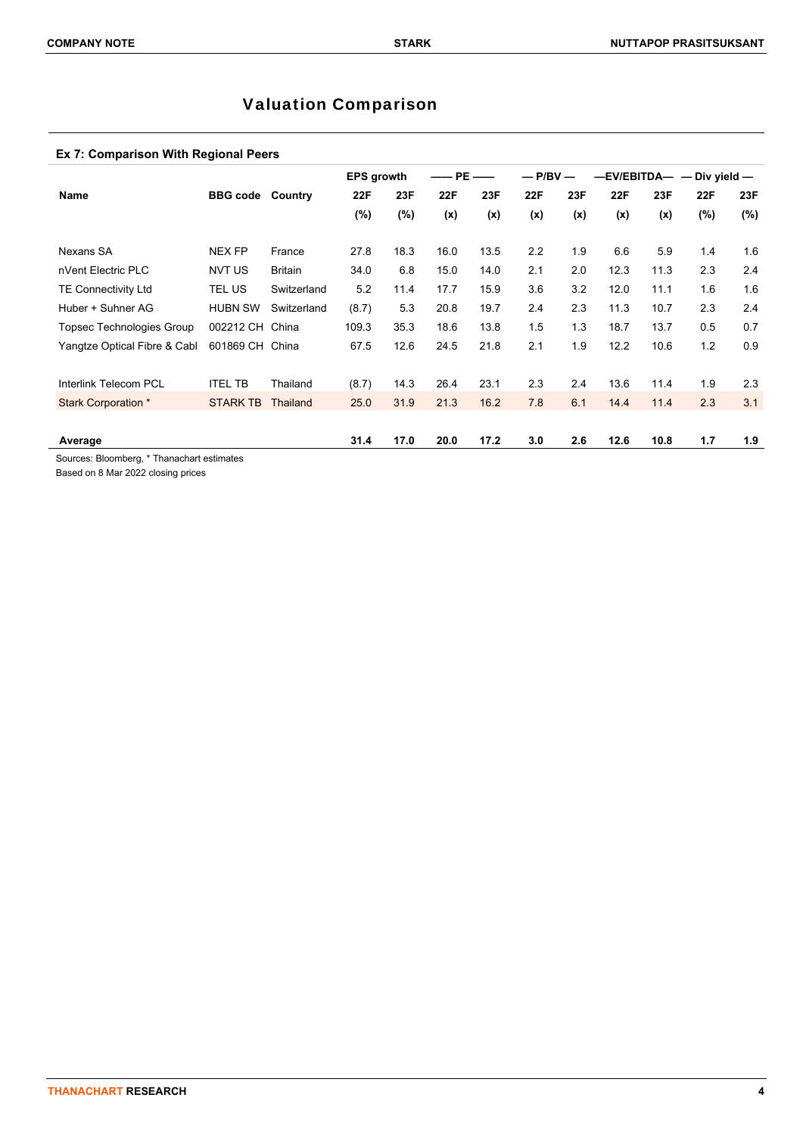# Valuation Comparison

# **Ex 7: Comparison With Regional Peers**

|                                  |                 |                 | <b>EPS growth</b> |      | —— PE | ——   | $-$ P/BV $-$ |     |            |      | -EV/EBITDA- - Div yield- |         |
|----------------------------------|-----------------|-----------------|-------------------|------|-------|------|--------------|-----|------------|------|--------------------------|---------|
| Name                             | <b>BBG</b> code | Country         | 22F               | 23F  | 22F   | 23F  | 22F          | 23F | <b>22F</b> | 23F  | 22F                      | 23F     |
|                                  |                 |                 | (%)               | (%)  | (x)   | (x)  | (x)          | (x) | (x)        | (x)  | $(\%)$                   | $(\% )$ |
| Nexans SA                        | <b>NEX FP</b>   | France          | 27.8              | 18.3 | 16.0  | 13.5 | 2.2          | 1.9 | 6.6        | 5.9  | 1.4                      | 1.6     |
| nVent Electric PLC               | <b>NVT US</b>   | <b>Britain</b>  | 34.0              | 6.8  | 15.0  | 14.0 | 2.1          | 2.0 | 12.3       | 11.3 | 2.3                      | 2.4     |
| <b>TE Connectivity Ltd</b>       | TEL US          | Switzerland     | 5.2               | 11.4 | 17.7  | 15.9 | 3.6          | 3.2 | 12.0       | 11.1 | 1.6                      | 1.6     |
| Huber + Suhner AG                | <b>HUBN SW</b>  | Switzerland     | (8.7)             | 5.3  | 20.8  | 19.7 | 2.4          | 2.3 | 11.3       | 10.7 | 2.3                      | 2.4     |
| <b>Topsec Technologies Group</b> | 002212 CH       | China           | 109.3             | 35.3 | 18.6  | 13.8 | 1.5          | 1.3 | 18.7       | 13.7 | 0.5                      | 0.7     |
| Yangtze Optical Fibre & Cabl     | 601869 CH China |                 | 67.5              | 12.6 | 24.5  | 21.8 | 2.1          | 1.9 | 12.2       | 10.6 | 1.2                      | 0.9     |
|                                  |                 |                 |                   |      |       |      |              |     |            |      |                          |         |
| <b>Interlink Telecom PCL</b>     | <b>ITEL TB</b>  | Thailand        | (8.7)             | 14.3 | 26.4  | 23.1 | 2.3          | 2.4 | 13.6       | 11.4 | 1.9                      | 2.3     |
| <b>Stark Corporation *</b>       | <b>STARK TB</b> | <b>Thailand</b> | 25.0              | 31.9 | 21.3  | 16.2 | 7.8          | 6.1 | 14.4       | 11.4 | 2.3                      | 3.1     |
|                                  |                 |                 |                   |      |       |      |              |     |            |      |                          |         |
| Average                          |                 |                 | 31.4              | 17.0 | 20.0  | 17.2 | 3.0          | 2.6 | 12.6       | 10.8 | 1.7                      | 1.9     |

Sources: Bloomberg, \* Thanachart estimates

Based on 8 Mar 2022 closing prices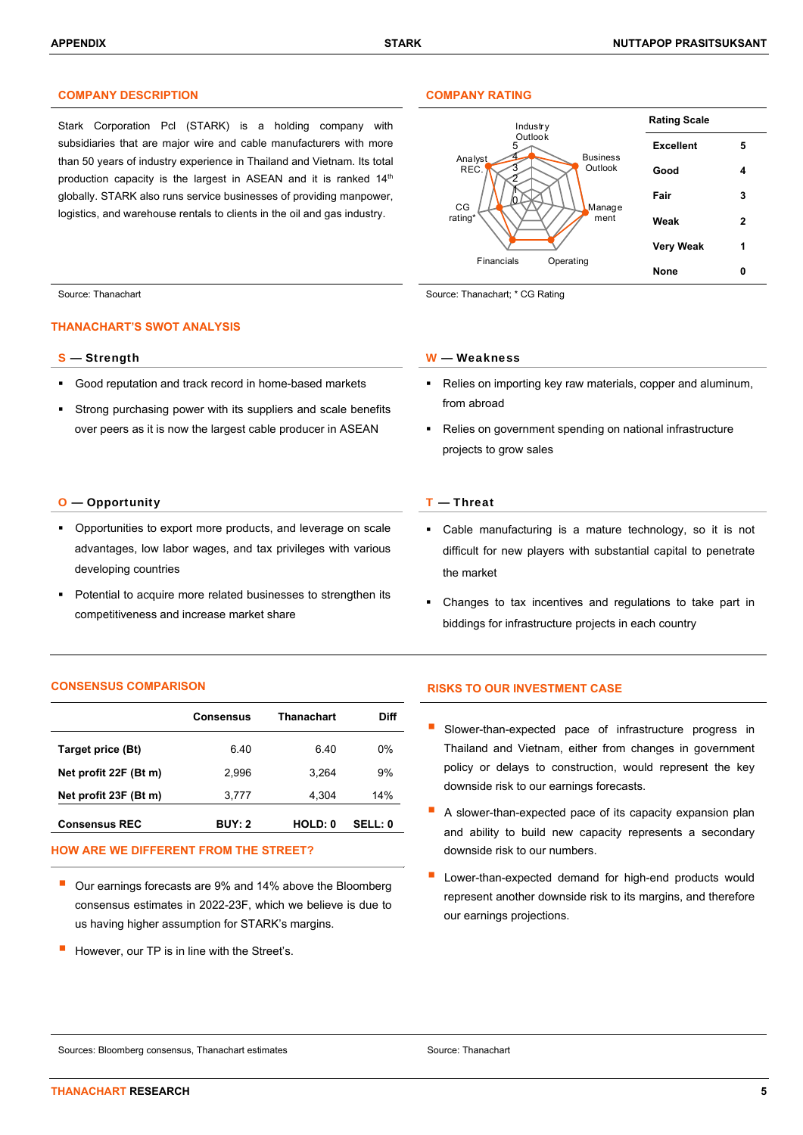## **COMPANY DESCRIPTION COMPANY RATING**

Stark Corporation Pcl (STARK) is a holding company with subsidiaries that are major wire and cable manufacturers with more than 50 years of industry experience in Thailand and Vietnam. Its total production capacity is the largest in ASEAN and it is ranked 14<sup>th</sup> globally. STARK also runs service businesses of providing manpower, logistics, and warehouse rentals to clients in the oil and gas industry.



Source: Thanachart Source: Thanachart Source: Thanachart Source: Thanachart; \* CG Rating

### **THANACHART'S SWOT ANALYSIS**

- Good reputation and track record in home-based markets
- Strong purchasing power with its suppliers and scale benefits over peers as it is now the largest cable producer in ASEAN

### O — OpportunityT — Threat

- **•** Opportunities to export more products, and leverage on scale advantages, low labor wages, and tax privileges with various developing countries
- Potential to acquire more related businesses to strengthen its competitiveness and increase market share

### **CONSENSUS COMPARISON RISKS TO OUR INVESTMENT CASE**

|                       | <b>Consensus</b> | Thanachart | Diff    |
|-----------------------|------------------|------------|---------|
| Target price (Bt)     | 6.40             | 6.40       | 0%      |
| Net profit 22F (Bt m) | 2.996            | 3.264      | 9%      |
| Net profit 23F (Bt m) | 3,777            | 4,304      | 14%     |
| <b>Consensus REC</b>  | <b>BUY: 2</b>    | HOLD: 0    | SELL: 0 |

## **HOW ARE WE DIFFERENT FROM THE STREET?**

- Our earnings forecasts are 9% and 14% above the Bloomberg consensus estimates in 2022-23F, which we believe is due to us having higher assumption for STARK's margins.
- However, our TP is in line with the Street's.

### S — Strength W — Weakness

- Relies on importing key raw materials, copper and aluminum, from abroad
- Relies on government spending on national infrastructure projects to grow sales

- Cable manufacturing is a mature technology, so it is not difficult for new players with substantial capital to penetrate the market
- Changes to tax incentives and regulations to take part in biddings for infrastructure projects in each country

- **B** Slower-than-expected pace of infrastructure progress in Thailand and Vietnam, either from changes in government policy or delays to construction, would represent the key downside risk to our earnings forecasts.
- A slower-than-expected pace of its capacity expansion plan and ability to build new capacity represents a secondary downside risk to our numbers.
- Lower-than-expected demand for high-end products would represent another downside risk to its margins, and therefore our earnings projections.

Sources: Bloomberg consensus, Thanachart estimates Source: Thanachart estimates Source: Thanachart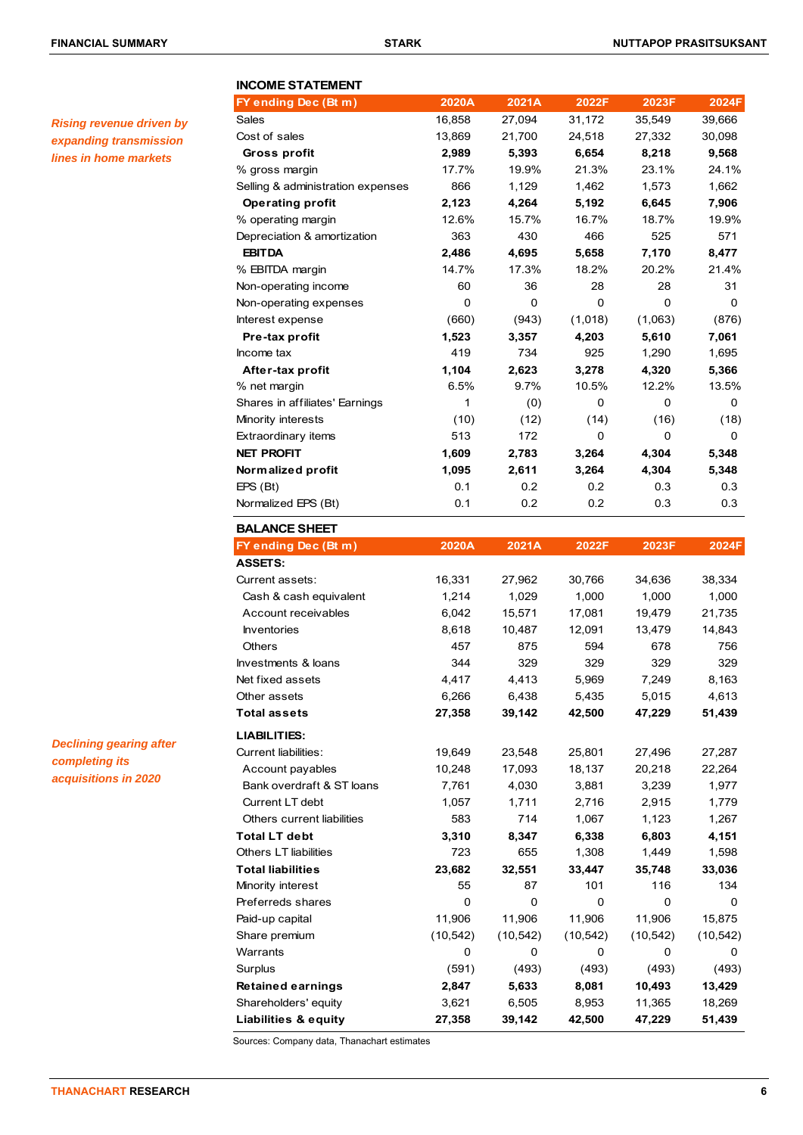*Rising revenue driven by expanding transmission lines in home markets* 

| <b>INCOME STATEMENT</b>                        |                |                 |                |                |                |
|------------------------------------------------|----------------|-----------------|----------------|----------------|----------------|
| FY ending Dec (Bt m)<br>Sales                  | 2020A          | 2021A<br>27,094 | 2022F          | 2023F          | 2024F          |
|                                                | 16,858         |                 | 31,172         | 35,549         | 39,666         |
| Cost of sales                                  | 13,869         | 21,700          | 24,518         | 27,332         | 30,098         |
| <b>Gross profit</b>                            | 2,989<br>17.7% | 5,393<br>19.9%  | 6,654<br>21.3% | 8,218<br>23.1% | 9,568<br>24.1% |
| % gross margin                                 | 866            | 1,129           | 1,462          | 1,573          | 1,662          |
| Selling & administration expenses              |                |                 |                |                |                |
| <b>Operating profit</b>                        | 2,123<br>12.6% | 4,264<br>15.7%  | 5,192<br>16.7% | 6,645<br>18.7% | 7,906<br>19.9% |
| % operating margin                             | 363            | 430             | 466            | 525            | 571            |
| Depreciation & amortization<br><b>EBITDA</b>   |                |                 |                |                |                |
| % EBITDA margin                                | 2,486<br>14.7% | 4,695<br>17.3%  | 5,658<br>18.2% | 7,170<br>20.2% | 8,477<br>21.4% |
| Non-operating income                           | 60             | 36              | 28             | 28             | 31             |
| Non-operating expenses                         | 0              | 0               | 0              | 0              | 0              |
| Interest expense                               | (660)          | (943)           | (1,018)        | (1,063)        | (876)          |
|                                                |                |                 |                |                |                |
| Pre-tax profit<br>Income tax                   | 1,523<br>419   | 3,357<br>734    | 4,203<br>925   | 5,610<br>1,290 | 7,061          |
|                                                | 1,104          |                 |                |                | 1,695          |
| After-tax profit                               | 6.5%           | 2,623<br>9.7%   | 3,278<br>10.5% | 4,320<br>12.2% | 5,366          |
| % net margin<br>Shares in affiliates' Earnings | 1              | (0)             | 0              | 0              | 13.5%<br>0     |
|                                                |                |                 | (14)           | (16)           |                |
| Minority interests<br>Extraordinary items      | (10)<br>513    | (12)<br>172     | 0              | 0              | (18)<br>0      |
| <b>NET PROFIT</b>                              | 1,609          | 2,783           | 3,264          | 4,304          | 5,348          |
| Normalized profit                              | 1,095          | 2,611           | 3,264          | 4,304          | 5,348          |
| EPS(Bt)                                        | 0.1            | 0.2             | $0.2\,$        | 0.3            | 0.3            |
| Normalized EPS (Bt)                            | 0.1            | 0.2             | 0.2            | 0.3            | 0.3            |
|                                                |                |                 |                |                |                |
| <b>BALANCE SHEET</b>                           |                |                 |                |                |                |
| FY ending Dec (Bt m)                           | 2020A          | 2021A           | 2022F          | 2023F          | 2024F          |
| <b>ASSETS:</b>                                 |                |                 |                |                |                |
| Current assets:                                | 16,331         | 27,962          | 30,766         | 34,636         | 38,334         |
| Cash & cash equivalent                         | 1,214          | 1,029           | 1,000          | 1,000          | 1,000          |
| Account receivables                            | 6,042          | 15,571          | 17,081         | 19,479         | 21,735         |
| <b>Inventories</b>                             | 8,618          | 10,487          | 12,091         | 13,479         | 14,843         |
| Others                                         | 457            | 875             | 594            | 678            | 756            |
| Investments & loans                            | 344            | 329             | 329            | 329            | 329            |
| Net fixed assets                               | 4,417          | 4,413           | 5,969          | 7,249          | 8,163          |
| Other assets                                   | 6,266          | 6,438           | 5,435          | 5,015          | 4,613          |
| <b>Total assets</b>                            | 27,358         | 39,142          | 42,500         | 47,229         | 51,439         |
| <b>LIABILITIES:</b>                            |                |                 |                |                |                |
| <b>Current liabilities:</b>                    | 19,649         | 23,548          | 25,801         | 27,496         | 27,287         |
| Account payables                               | 10,248         | 17,093          | 18,137         | 20,218         | 22,264         |
| Bank overdraft & ST loans                      | 7,761          | 4,030           | 3,881          | 3,239          | 1,977          |
| Current LT debt                                | 1,057          | 1,711           | 2,716          | 2,915          | 1,779          |
| Others current liabilities                     | 583            | 714             | 1,067          | 1,123          | 1,267          |
| <b>Total LT debt</b>                           | 3,310          | 8,347           | 6,338          | 6,803          | 4,151          |
| <b>Others LT liabilities</b>                   | 723            | 655             | 1,308          | 1,449          | 1,598          |
| <b>Total liabilities</b>                       | 23,682         | 32,551          | 33,447         | 35,748         | 33,036         |
| Minority interest                              | 55             | 87              | 101            | 116            | 134            |
| Preferreds shares                              | $\mathbf 0$    | 0               | 0              | 0              | 0              |
| Paid-up capital                                | 11,906         | 11,906          | 11,906         | 11,906         | 15,875         |
| Share premium                                  | (10, 542)      | (10, 542)       | (10, 542)      | (10, 542)      | (10, 542)      |
| Warrants                                       | 0              | 0               | 0              | 0              | 0              |
| Surplus                                        | (591)          | (493)           | (493)          | (493)          | (493)          |
| <b>Retained earnings</b>                       | 2,847          | 5,633           | 8,081          | 10,493         | 13,429         |
| Shareholders' equity                           | 3,621          | 6,505           | 8,953          | 11,365         | 18,269         |
| <b>Liabilities &amp; equity</b>                | 27,358         | 39,142          | 42,500         | 47,229         | 51,439         |

Sources: Company data, Thanachart estimates

*Declining gearing after* 

*completing its acquisitions in 2020*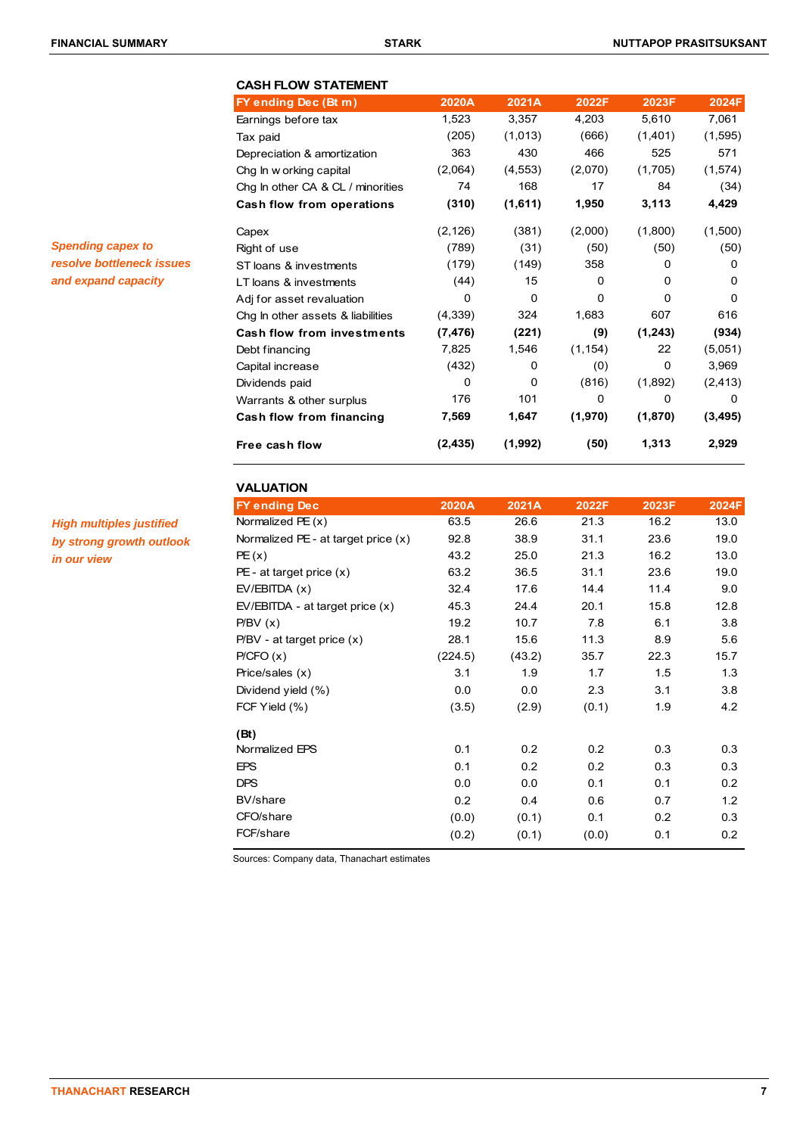*Spending capex to resolve bottleneck issues and expand capacity* 

# **CASH FLOW STATEMENT FY ending Dec (Bt m) 2020A 2021A 2022F 2023F 2024F** Earnings before tax 1,523 3,357 4,203 5,610 7,061 Tax paid (205) (1,013) (666) (1,401) (1,595) Depreciation & amortization 363 430 466 525 571 Chg In w orking capital (2,064) (4,553) (2,070) (1,705) (1,574) Chg In other CA & CL / minorities 74 168 17 84 (34) **Cash flow from operations (310) (1,611) 1,950 3,113 4,429** Capex (2,126) (381) (2,000) (1,800) (1,500) Right of use (789) (31) (50) (50) (50) ST loans & investments (179) (149) 358 0 0 LT loans & investments (44) 15 0 0 0 0 Adj for asset revaluation and the control of the control of the control of the control of the control of the control of the control of the control of the control of the control of the control of the control of the control Chg In other assets & liabilities (4,339) 324 1,683 607 616 **Cash flow from investments (7,476) (221) (9) (1,243) (934)** Debt financing 7,825 1,546 (1,154) 22 (5,051) Capital increase (432) 0 (0) 0 3,969 Dividends paid 0 0 (816) (1,892) (2,413) Warrants & other surplus **176** 101 0 0 0 0 0 **Cash flow from financing 7,569 1,647 (1,970) (1,870) (3,495) Free cash flow (2,435) (1,992) (50) 1,313 2,929**

# **VALUATION**

*High multiples justified by strong growth outlook in our view* 

| 2020A   | 2021A  | 2022F | 2023F | 2024F |
|---------|--------|-------|-------|-------|
| 63.5    | 26.6   | 21.3  | 16.2  | 13.0  |
| 92.8    | 38.9   | 31.1  | 23.6  | 19.0  |
| 43.2    | 25.0   | 21.3  | 16.2  | 13.0  |
| 63.2    | 36.5   | 31.1  | 23.6  | 19.0  |
| 32.4    | 17.6   | 14.4  | 11.4  | 9.0   |
| 45.3    | 24.4   | 20.1  | 15.8  | 12.8  |
| 19.2    | 10.7   | 7.8   | 6.1   | 3.8   |
| 28.1    | 15.6   | 11.3  | 8.9   | 5.6   |
| (224.5) | (43.2) | 35.7  | 22.3  | 15.7  |
| 3.1     | 1.9    | 1.7   | 1.5   | 1.3   |
| 0.0     | 0.0    | 2.3   | 3.1   | 3.8   |
| (3.5)   | (2.9)  | (0.1) | 1.9   | 4.2   |
|         |        |       |       |       |
| 0.1     | 0.2    | 0.2   | 0.3   | 0.3   |
| 0.1     | 0.2    | 0.2   | 0.3   | 0.3   |
| 0.0     | 0.0    | 0.1   | 0.1   | 0.2   |
| 0.2     | 0.4    | 0.6   | 0.7   | 1.2   |
| (0.0)   | (0.1)  | 0.1   | 0.2   | 0.3   |
| (0.2)   | (0.1)  | (0.0) | 0.1   | 0.2   |
|         |        |       |       |       |

Sources: Company data, Thanachart estimates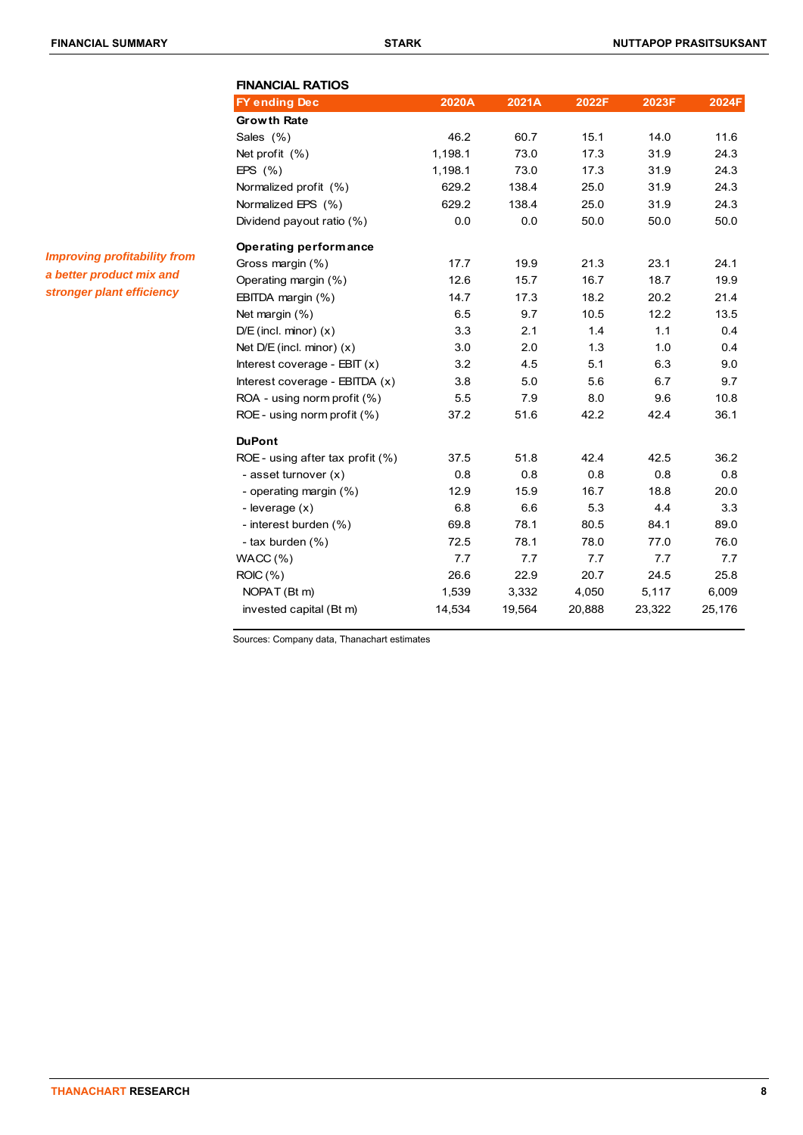| <b>FINANCIAL RATIOS</b>             |         |        |        |        |        |
|-------------------------------------|---------|--------|--------|--------|--------|
| <b>FY ending Dec</b>                | 2020A   | 2021A  | 2022F  | 2023F  | 2024F  |
| <b>Growth Rate</b>                  |         |        |        |        |        |
| Sales (%)                           | 46.2    | 60.7   | 15.1   | 14.0   | 11.6   |
| Net profit $(%)$                    | 1,198.1 | 73.0   | 17.3   | 31.9   | 24.3   |
| EPS $(\% )$                         | 1,198.1 | 73.0   | 17.3   | 31.9   | 24.3   |
| Normalized profit (%)               | 629.2   | 138.4  | 25.0   | 31.9   | 24.3   |
| Normalized EPS (%)                  | 629.2   | 138.4  | 25.0   | 31.9   | 24.3   |
| Dividend payout ratio (%)           | 0.0     | 0.0    | 50.0   | 50.0   | 50.0   |
| Operating performance               |         |        |        |        |        |
| Gross margin (%)                    | 17.7    | 19.9   | 21.3   | 23.1   | 24.1   |
| Operating margin (%)                | 12.6    | 15.7   | 16.7   | 18.7   | 19.9   |
| EBITDA margin (%)                   | 14.7    | 17.3   | 18.2   | 20.2   | 21.4   |
| Net margin (%)                      | 6.5     | 9.7    | 10.5   | 12.2   | 13.5   |
| $D/E$ (incl. minor) $(x)$           | 3.3     | 2.1    | 1.4    | 1.1    | 0.4    |
| Net $D/E$ (incl. minor) $(x)$       | 3.0     | 2.0    | 1.3    | 1.0    | 0.4    |
| Interest coverage - $EBT(x)$        | 3.2     | 4.5    | 5.1    | 6.3    | 9.0    |
| Interest coverage - EBITDA (x)      | 3.8     | 5.0    | 5.6    | 6.7    | 9.7    |
| ROA - using norm profit (%)         | 5.5     | 7.9    | 8.0    | 9.6    | 10.8   |
| ROE - using norm profit (%)         | 37.2    | 51.6   | 42.2   | 42.4   | 36.1   |
| <b>DuPont</b>                       |         |        |        |        |        |
| ROE - using after tax profit $(\%)$ | 37.5    | 51.8   | 42.4   | 42.5   | 36.2   |
| - asset turnover (x)                | 0.8     | 0.8    | 0.8    | 0.8    | 0.8    |
| - operating margin (%)              | 12.9    | 15.9   | 16.7   | 18.8   | 20.0   |
| - leverage (x)                      | 6.8     | 6.6    | 5.3    | 4.4    | 3.3    |
| - interest burden (%)               | 69.8    | 78.1   | 80.5   | 84.1   | 89.0   |
| - tax burden (%)                    | 72.5    | 78.1   | 78.0   | 77.0   | 76.0   |
| WACC(%)                             | 7.7     | 7.7    | 7.7    | 7.7    | 7.7    |
| ROIC (%)                            | 26.6    | 22.9   | 20.7   | 24.5   | 25.8   |
| NOPAT (Bt m)                        | 1,539   | 3,332  | 4,050  | 5,117  | 6,009  |
| invested capital (Bt m)             | 14,534  | 19,564 | 20,888 | 23,322 | 25,176 |

Sources: Company data, Thanachart estimates

*Improving profitability from a better product mix and stronger plant efficiency*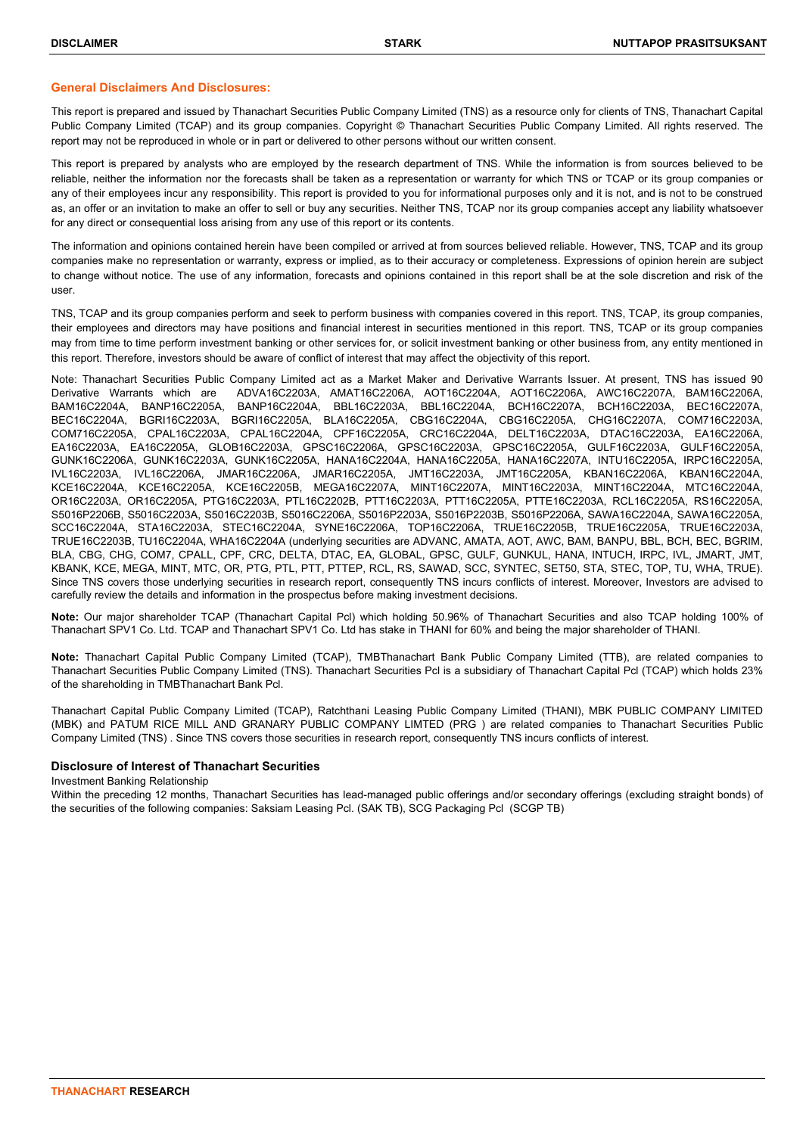### **General Disclaimers And Disclosures:**

This report is prepared and issued by Thanachart Securities Public Company Limited (TNS) as a resource only for clients of TNS, Thanachart Capital Public Company Limited (TCAP) and its group companies. Copyright © Thanachart Securities Public Company Limited. All rights reserved. The report may not be reproduced in whole or in part or delivered to other persons without our written consent.

This report is prepared by analysts who are employed by the research department of TNS. While the information is from sources believed to be reliable, neither the information nor the forecasts shall be taken as a representation or warranty for which TNS or TCAP or its group companies or any of their employees incur any responsibility. This report is provided to you for informational purposes only and it is not, and is not to be construed as, an offer or an invitation to make an offer to sell or buy any securities. Neither TNS, TCAP nor its group companies accept any liability whatsoever for any direct or consequential loss arising from any use of this report or its contents.

The information and opinions contained herein have been compiled or arrived at from sources believed reliable. However, TNS, TCAP and its group companies make no representation or warranty, express or implied, as to their accuracy or completeness. Expressions of opinion herein are subject to change without notice. The use of any information, forecasts and opinions contained in this report shall be at the sole discretion and risk of the user.

TNS, TCAP and its group companies perform and seek to perform business with companies covered in this report. TNS, TCAP, its group companies, their employees and directors may have positions and financial interest in securities mentioned in this report. TNS, TCAP or its group companies may from time to time perform investment banking or other services for, or solicit investment banking or other business from, any entity mentioned in this report. Therefore, investors should be aware of conflict of interest that may affect the objectivity of this report.

Note: Thanachart Securities Public Company Limited act as a Market Maker and Derivative Warrants Issuer. At present, TNS has issued 90 Derivative Warrants which are ADVA16C2203A, AMAT16C2206A, AOT16C2204A, AOT16C2206A, AWC16C2207A, BAM16C2206A, BAM16C2204A, BANP16C2205A, BANP16C2204A, BBL16C2203A, BBL16C2204A, BCH16C2207A, BCH16C2203A, BEC16C2207A, BEC16C2204A, BGRI16C2203A, BGRI16C2205A, BLA16C2205A, CBG16C2204A, CBG16C2205A, CHG16C2207A, COM716C2203A, COM716C2205A, CPAL16C2203A, CPAL16C2204A, CPF16C2205A, CRC16C2204A, DELT16C2203A, DTAC16C2203A, EA16C2206A, EA16C2203A, EA16C2205A, GLOB16C2203A, GPSC16C2206A, GPSC16C2203A, GPSC16C2205A, GULF16C2203A, GULF16C2205A, GUNK16C2206A, GUNK16C2203A, GUNK16C2205A, HANA16C2204A, HANA16C2205A, HANA16C2207A, INTU16C2205A, IRPC16C2205A, IVL16C2203A, IVL16C2206A, JMAR16C2206A, JMAR16C2205A, JMT16C2203A, JMT16C2205A, KBAN16C2206A, KBAN16C2204A, KCE16C2204A, KCE16C2205A, KCE16C2205B, MEGA16C2207A, MINT16C2207A, MINT16C2203A, MINT16C2204A, MTC16C2204A, OR16C2203A, OR16C2205A, PTG16C2203A, PTL16C2202B, PTT16C2203A, PTT16C2205A, PTTE16C2203A, RCL16C2205A, RS16C2205A, S5016P2206B, S5016C2203A, S5016C2203B, S5016C2206A, S5016P2203A, S5016P2203B, S5016P2206A, SAWA16C2204A, SAWA16C2205A, SCC16C2204A, STA16C2203A, STEC16C2204A, SYNE16C2206A, TOP16C2206A, TRUE16C2205B, TRUE16C2205A, TRUE16C2203A, TRUE16C2203B, TU16C2204A, WHA16C2204A (underlying securities are ADVANC, AMATA, AOT, AWC, BAM, BANPU, BBL, BCH, BEC, BGRIM, BLA, CBG, CHG, COM7, CPALL, CPF, CRC, DELTA, DTAC, EA, GLOBAL, GPSC, GULF, GUNKUL, HANA, INTUCH, IRPC, IVL, JMART, JMT, KBANK, KCE, MEGA, MINT, MTC, OR, PTG, PTL, PTT, PTTEP, RCL, RS, SAWAD, SCC, SYNTEC, SET50, STA, STEC, TOP, TU, WHA, TRUE). Since TNS covers those underlying securities in research report, consequently TNS incurs conflicts of interest. Moreover, Investors are advised to carefully review the details and information in the prospectus before making investment decisions.

**Note:** Our major shareholder TCAP (Thanachart Capital Pcl) which holding 50.96% of Thanachart Securities and also TCAP holding 100% of Thanachart SPV1 Co. Ltd. TCAP and Thanachart SPV1 Co. Ltd has stake in THANI for 60% and being the major shareholder of THANI.

**Note:** Thanachart Capital Public Company Limited (TCAP), TMBThanachart Bank Public Company Limited (TTB), are related companies to Thanachart Securities Public Company Limited (TNS). Thanachart Securities Pcl is a subsidiary of Thanachart Capital Pcl (TCAP) which holds 23% of the shareholding in TMBThanachart Bank Pcl.

Thanachart Capital Public Company Limited (TCAP), Ratchthani Leasing Public Company Limited (THANI), MBK PUBLIC COMPANY LIMITED (MBK) and PATUM RICE MILL AND GRANARY PUBLIC COMPANY LIMTED (PRG ) are related companies to Thanachart Securities Public Company Limited (TNS) . Since TNS covers those securities in research report, consequently TNS incurs conflicts of interest.

### **Disclosure of Interest of Thanachart Securities**

Investment Banking Relationship

Within the preceding 12 months, Thanachart Securities has lead-managed public offerings and/or secondary offerings (excluding straight bonds) of the securities of the following companies: Saksiam Leasing Pcl. (SAK TB), SCG Packaging Pcl (SCGP TB)